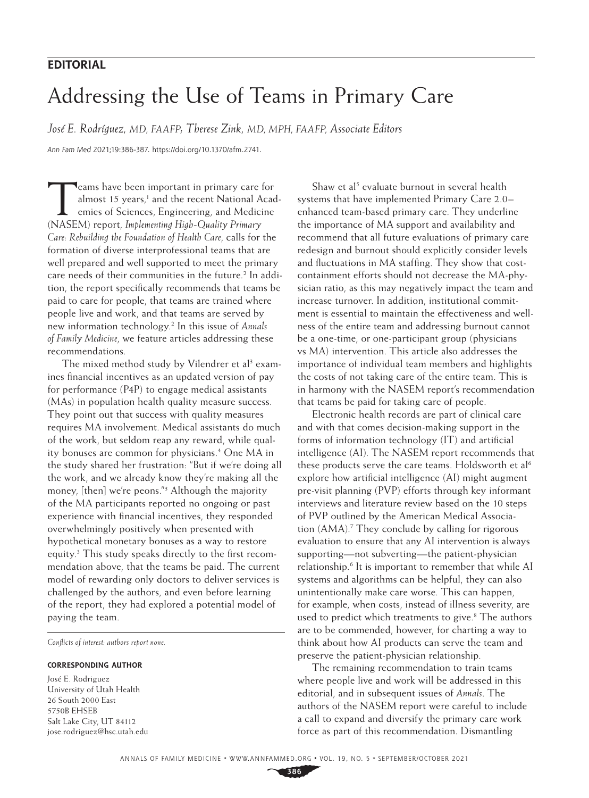## **EDITORIAL**

# Addressing the Use of Teams in Primary Care

*José E. Rodríguez, MD, FAAFP; Therese Zink, MD, MPH, FAAFP, Associate Editors*

*Ann Fam Med* 2021;19:386-387. [https://doi.org/10.1370/afm.2741.](https://doi.org/10.1370/afm.2741)

Teams have been important in primary care for<br>almost 15 years,<sup>1</sup> and the recent National Acad<br>emies of Sciences, Engineering, and Medicine almost 15 years,<sup>1</sup> and the recent National Academies of Sciences, Engineering, and Medicine (NASEM) report, *Implementing High-Quality Primary Care: Rebuilding the Foundation of Health Care*, calls for the formation of diverse interprofessional teams that are well prepared and well supported to meet the primary care needs of their communities in the future.<sup>2</sup> In addition, the report specifically recommends that teams be paid to care for people, that teams are trained where people live and work, and that teams are served by new information technology.2 In this issue of *Annals of Family Medicine*, we feature articles addressing these recommendations.

The mixed method study by Vilendrer et al<sup>3</sup> examines financial incentives as an updated version of pay for performance (P4P) to engage medical assistants (MAs) in population health quality measure success. They point out that success with quality measures requires MA involvement. Medical assistants do much of the work, but seldom reap any reward, while quality bonuses are common for physicians.<sup>4</sup> One MA in the study shared her frustration: "But if we're doing all the work, and we already know they're making all the money, [then] we're peons."3 Although the majority of the MA participants reported no ongoing or past experience with financial incentives, they responded overwhelmingly positively when presented with hypothetical monetary bonuses as a way to restore equity.3 This study speaks directly to the first recommendation above, that the teams be paid. The current model of rewarding only doctors to deliver services is challenged by the authors, and even before learning of the report, they had explored a potential model of paying the team.

*Conflicts of interest: authors report none.*

#### **CORRESPONDING AUTHOR**

José E. Rodriguez University of Utah Health 26 South 2000 East 5750B EHSEB Salt Lake City, UT 84112 [jose.rodriguez@hsc.utah.edu](mailto:jose.rodriguez@hsc.utah.edu)

Shaw et al<sup>5</sup> [evaluate burnout](https://www.annfammed.org/content/19/5/411) in several health systems that have implemented Primary Care 2.0– enhanced team-based primary care. They underline the importance of MA support and availability and recommend that all future evaluations of primary care redesign and burnout should explicitly consider levels and fluctuations in MA staffing. They show that costcontainment efforts should not decrease the MA-physician ratio, as this may negatively impact the team and increase turnover. In addition, institutional commitment is essential to maintain the effectiveness and wellness of the entire team and addressing burnout cannot be a one-time, or one-participant group (physicians vs MA) intervention. This article also addresses the importance of individual team members and highlights the costs of not taking care of the entire team. This is in harmony with the NASEM report's recommendation that teams be paid for taking care of people.

Electronic health records are part of clinical care and with that comes decision-making support in the forms of information technology (IT) and artificial intelligence (AI). The NASEM report recommends that these products serve the care teams. Holdsworth et al<sup>6</sup> explore how artificial intelligence (AI) might augment pre-visit planning (PVP) efforts through key informant interviews and literature review based on the 10 steps of PVP outlined by the American Medical Association (AMA).<sup>7</sup> They conclude by calling for rigorous evaluation to ensure that any AI intervention is always supporting—not subverting—the patient-physician relationship.<sup>6</sup> It is important to remember that while AI systems and algorithms can be helpful, they can also unintentionally make care worse. This can happen, for example, when costs, instead of illness severity, are used to predict which treatments to give.<sup>8</sup> The authors are to be commended, however, for charting a way to think about how AI products can serve the team and preserve the patient-physician relationship.

The remaining recommendation to train teams where people live and work will be addressed in this editorial, and in subsequent issues of *Annals*. The authors of the NASEM report were careful to include a call to expand and diversify the primary care work force as part of this recommendation. Dismantling